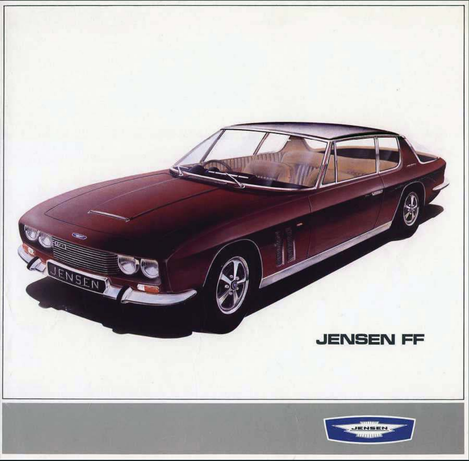